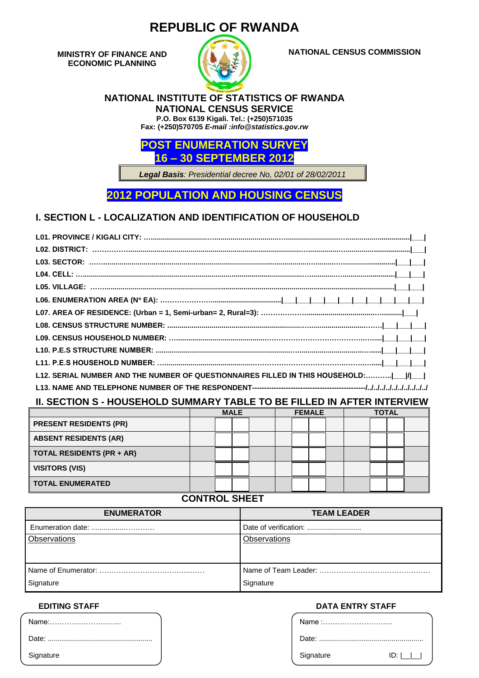# **REPUBLIC OF RWANDA**

**MINISTRY OF FINANCE AND ECONOMIC PLANNING**



**NATIONAL CENSUS COMMISSION**

#### **NATIONAL INSTITUTE OF STATISTICS OF RWANDA NATIONAL CENSUS SERVICE**

**P.O. Box 6139 Kigali. Tel.: (+250)571035**

**Fax: (+250)570705** *E-mail :info@statistics.gov.rw*



*Legal Basis: Presidential decree No, 02/01 of 28/02/2011*

**2012 POPULATION AND HOUSING CENSUS**

# **I. SECTION L - LOCALIZATION AND IDENTIFICATION OF HOUSEHOLD**

| L12. SERIAL NUMBER AND THE NUMBER OF QUESTIONNAIRES FILLED IN THIS HOUSEHOLD: ___ / ___ |
|-----------------------------------------------------------------------------------------|
|                                                                                         |

### **II. SECTION S - HOUSEHOLD SUMMARY TABLE TO BE FILLED IN AFTER INTERVIEW**

|                                  | <b>MALE</b> |  |  | <b>FEMALE</b> |  |  | <b>TOTAL</b> |  |  |  |  |  |
|----------------------------------|-------------|--|--|---------------|--|--|--------------|--|--|--|--|--|
| <b>PRESENT RESIDENTS (PR)</b>    |             |  |  |               |  |  |              |  |  |  |  |  |
| <b>ABSENT RESIDENTS (AR)</b>     |             |  |  |               |  |  |              |  |  |  |  |  |
| <b>TOTAL RESIDENTS (PR + AR)</b> |             |  |  |               |  |  |              |  |  |  |  |  |
| <b>VISITORS (VIS)</b>            |             |  |  |               |  |  |              |  |  |  |  |  |
| <b>TOTAL ENUMERATED</b>          |             |  |  |               |  |  |              |  |  |  |  |  |

## **CONTROL SHEET**

| <b>ENUMERATOR</b> | <b>TEAM LEADER</b>    |
|-------------------|-----------------------|
| Enumeration date: | Date of verification: |
| Observations      | Observations          |
| Signature         | Signature             |

| Name:     |
|-----------|
|           |
| Signature |

#### **EDITING STAFF DATA ENTRY STAFF**

| Name :    |     |
|-----------|-----|
|           |     |
| Signature | ID: |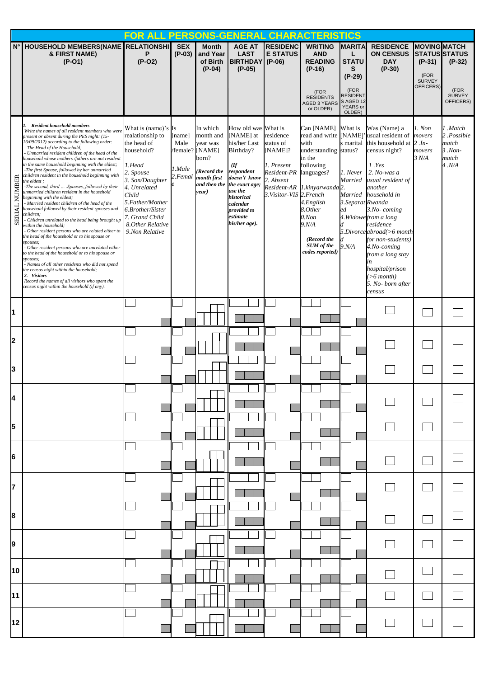|                         |                                                                                                                                                                                                                                                                                                                                                                                                                                                                                                                                                                                                                                                                                                                                                                                                                                                                                                                                                                                                                                                                                                                                                                                                                                                                                         | FOR ALL PERSONS-GENERA                                                                                                                                                                                                                  |                                     |                                                                                                                      |                                                                                                                                                                                                     |                                                                                                                       | <b>CHARACTERISTICS</b>                                                                                                                                                                                                                    |                                                                                                       |                                                                                                                                                                                                                                                                                                                                                                             |                                                                              |                                                                        |
|-------------------------|-----------------------------------------------------------------------------------------------------------------------------------------------------------------------------------------------------------------------------------------------------------------------------------------------------------------------------------------------------------------------------------------------------------------------------------------------------------------------------------------------------------------------------------------------------------------------------------------------------------------------------------------------------------------------------------------------------------------------------------------------------------------------------------------------------------------------------------------------------------------------------------------------------------------------------------------------------------------------------------------------------------------------------------------------------------------------------------------------------------------------------------------------------------------------------------------------------------------------------------------------------------------------------------------|-----------------------------------------------------------------------------------------------------------------------------------------------------------------------------------------------------------------------------------------|-------------------------------------|----------------------------------------------------------------------------------------------------------------------|-----------------------------------------------------------------------------------------------------------------------------------------------------------------------------------------------------|-----------------------------------------------------------------------------------------------------------------------|-------------------------------------------------------------------------------------------------------------------------------------------------------------------------------------------------------------------------------------------|-------------------------------------------------------------------------------------------------------|-----------------------------------------------------------------------------------------------------------------------------------------------------------------------------------------------------------------------------------------------------------------------------------------------------------------------------------------------------------------------------|------------------------------------------------------------------------------|------------------------------------------------------------------------|
| $N^{\circ}$             | HOUSEHOLD MEMBERS(NAME RELATIONSHI<br>& FIRST NAME)<br>$(P-O1)$                                                                                                                                                                                                                                                                                                                                                                                                                                                                                                                                                                                                                                                                                                                                                                                                                                                                                                                                                                                                                                                                                                                                                                                                                         | P<br>$(P-O2)$                                                                                                                                                                                                                           | <b>SEX</b><br>$(P-03)$              | <b>Month</b><br>and Year<br>of Birth<br>$(P-04)$                                                                     | <b>AGE AT</b><br><b>LAST</b><br>BIRTHDAY (P-06)<br>$(P-05)$                                                                                                                                         | <b>RESIDENC</b><br><b>E STATUS</b>                                                                                    | <b>WRITING</b><br><b>AND</b><br><b>READING</b><br>$(P-16)$<br>(FOR<br><b>RESIDENTS</b><br><b>AGED 3 YEARS</b><br>or OLDER)                                                                                                                | <b>MARITA</b><br>L<br><b>STATU</b><br>S<br>$(P-29)$<br>(FOR<br>RESIDENT<br>S AGED 12<br>YEARS or      | <b>RESIDENCE</b><br><b>ON CENSUS</b><br><b>DAY</b><br>$(P-30)$                                                                                                                                                                                                                                                                                                              | <b>MOVING MATCH</b><br>$(P-31)$<br>(FOR<br><b>SURVEY</b><br><b>OFFICERS)</b> | <b>STATUS STATUS</b><br>$(P-32)$<br>(FOR<br><b>SURVEY</b><br>OFFICERS) |
| NUMBER<br><b>SERIAL</b> | <b>Resident household members</b><br>Write the names of all resident members who were<br>present or absent during the PES night: (15-<br>16/09/2012) according to the following order:<br>- The Head of the Household;<br>- Unmarried resident children of the head of the<br>household whose mothers /fathers are not resident<br>in the same household beginning with the eldest;<br>-The first Spouse, followed by her unmarried<br>children resident in the household beginning with<br>the eldest :<br>-The second, third  .Spouses, followed by their<br>unmarried children resident in the household<br>beginning with the eldest;<br>- Married resident children of the head of the<br>household followed by their resident spouses and<br>hildren;<br>Children unrelated to the head being brought up<br>within the household;<br>Other resident persons who are related either to<br>the head of the household or to his spouse or<br>spouses;<br>Other resident persons who are unrelated either<br>to the head of the household or to his spouse or<br>spouses;<br>Names of all other residents who did not spend<br>the census night within the household;<br>2. Visitors<br>Record the names of all visitors who spent the<br>census night within the household (if any). | What is (name)'s Is<br>realationship to<br>the head of<br>household?<br>1.Head<br>2. Spouse<br>3. Son/Daughter<br>4. Unrelated<br>Child<br>5.Father/Mother<br>6.Brother/Sister<br>7. Grand Child<br>8. Other Relative<br>9.Non Relative | [name]<br>Male<br>1.Male<br>2.Femal | In which<br>month and<br>year was<br>/female? [NAME]<br>born?<br>(Record the<br>month first<br>and then the<br>year) | How old was What is<br>[NAME] at<br>his/her Last<br>Birthday?<br>(<br>respondent<br>doesn't know<br>the exact age;<br>use the<br>historical<br>calendar<br>provided to<br>estimate<br>his/her age). | residence<br>status of<br>$[NAME]$ ?<br>1. Present<br>Resident-PR languages?<br>2. Absent<br>3. Visitor-VIS 2. French | Can [NAME]<br>read and write [NAME]<br>with<br>understanding status?<br>in the<br>following<br>Resident-AR 1.kinyarwanda <sup>2</sup> .<br>4.English<br>8.Other<br>0.Non<br>9. N/A<br>(Record the<br><b>SUM</b> of the<br>codes reported) | OLDER)<br>What is<br>s marital<br>1. Never<br>Married<br>Married<br>3. Separat Rwanda<br>еd<br>9. N/A | Was (Name) a<br>usual resident of<br>this household at $2 \pi$ .<br>census night?<br>1. Yes<br>2. No-was a<br>usual resident of<br>another<br>household in<br>3.No-coming<br>4. Widowe from a long<br>residence<br>5.Divorce abroad(>6 month<br>for non-students)<br>4.No-coming<br>from a long stay<br>in<br>hospital/prison<br>$(>6$ month)<br>5. No-born after<br>census | 1. Non<br>movers<br>movers<br>3 N/A                                          | Match.<br>2.Possible<br>match<br>$3. Non-$<br>match<br>4.N/A           |
| 11                      |                                                                                                                                                                                                                                                                                                                                                                                                                                                                                                                                                                                                                                                                                                                                                                                                                                                                                                                                                                                                                                                                                                                                                                                                                                                                                         |                                                                                                                                                                                                                                         |                                     |                                                                                                                      |                                                                                                                                                                                                     |                                                                                                                       |                                                                                                                                                                                                                                           |                                                                                                       |                                                                                                                                                                                                                                                                                                                                                                             |                                                                              |                                                                        |
| 12                      |                                                                                                                                                                                                                                                                                                                                                                                                                                                                                                                                                                                                                                                                                                                                                                                                                                                                                                                                                                                                                                                                                                                                                                                                                                                                                         |                                                                                                                                                                                                                                         |                                     |                                                                                                                      |                                                                                                                                                                                                     |                                                                                                                       |                                                                                                                                                                                                                                           |                                                                                                       |                                                                                                                                                                                                                                                                                                                                                                             |                                                                              |                                                                        |
| IЗ                      |                                                                                                                                                                                                                                                                                                                                                                                                                                                                                                                                                                                                                                                                                                                                                                                                                                                                                                                                                                                                                                                                                                                                                                                                                                                                                         |                                                                                                                                                                                                                                         |                                     |                                                                                                                      |                                                                                                                                                                                                     |                                                                                                                       |                                                                                                                                                                                                                                           |                                                                                                       |                                                                                                                                                                                                                                                                                                                                                                             |                                                                              |                                                                        |
| I4                      |                                                                                                                                                                                                                                                                                                                                                                                                                                                                                                                                                                                                                                                                                                                                                                                                                                                                                                                                                                                                                                                                                                                                                                                                                                                                                         |                                                                                                                                                                                                                                         |                                     |                                                                                                                      |                                                                                                                                                                                                     |                                                                                                                       |                                                                                                                                                                                                                                           |                                                                                                       |                                                                                                                                                                                                                                                                                                                                                                             |                                                                              |                                                                        |
| 15                      |                                                                                                                                                                                                                                                                                                                                                                                                                                                                                                                                                                                                                                                                                                                                                                                                                                                                                                                                                                                                                                                                                                                                                                                                                                                                                         |                                                                                                                                                                                                                                         |                                     |                                                                                                                      |                                                                                                                                                                                                     |                                                                                                                       |                                                                                                                                                                                                                                           |                                                                                                       |                                                                                                                                                                                                                                                                                                                                                                             |                                                                              |                                                                        |
| l6                      |                                                                                                                                                                                                                                                                                                                                                                                                                                                                                                                                                                                                                                                                                                                                                                                                                                                                                                                                                                                                                                                                                                                                                                                                                                                                                         |                                                                                                                                                                                                                                         |                                     |                                                                                                                      |                                                                                                                                                                                                     |                                                                                                                       |                                                                                                                                                                                                                                           |                                                                                                       |                                                                                                                                                                                                                                                                                                                                                                             |                                                                              |                                                                        |
| 17                      |                                                                                                                                                                                                                                                                                                                                                                                                                                                                                                                                                                                                                                                                                                                                                                                                                                                                                                                                                                                                                                                                                                                                                                                                                                                                                         |                                                                                                                                                                                                                                         |                                     |                                                                                                                      |                                                                                                                                                                                                     |                                                                                                                       |                                                                                                                                                                                                                                           |                                                                                                       |                                                                                                                                                                                                                                                                                                                                                                             |                                                                              |                                                                        |
| 18                      |                                                                                                                                                                                                                                                                                                                                                                                                                                                                                                                                                                                                                                                                                                                                                                                                                                                                                                                                                                                                                                                                                                                                                                                                                                                                                         |                                                                                                                                                                                                                                         |                                     |                                                                                                                      |                                                                                                                                                                                                     |                                                                                                                       |                                                                                                                                                                                                                                           |                                                                                                       |                                                                                                                                                                                                                                                                                                                                                                             |                                                                              |                                                                        |
| 19                      |                                                                                                                                                                                                                                                                                                                                                                                                                                                                                                                                                                                                                                                                                                                                                                                                                                                                                                                                                                                                                                                                                                                                                                                                                                                                                         |                                                                                                                                                                                                                                         |                                     |                                                                                                                      |                                                                                                                                                                                                     |                                                                                                                       |                                                                                                                                                                                                                                           |                                                                                                       |                                                                                                                                                                                                                                                                                                                                                                             |                                                                              |                                                                        |
| 10                      |                                                                                                                                                                                                                                                                                                                                                                                                                                                                                                                                                                                                                                                                                                                                                                                                                                                                                                                                                                                                                                                                                                                                                                                                                                                                                         |                                                                                                                                                                                                                                         |                                     |                                                                                                                      |                                                                                                                                                                                                     |                                                                                                                       |                                                                                                                                                                                                                                           |                                                                                                       |                                                                                                                                                                                                                                                                                                                                                                             |                                                                              |                                                                        |
| 11                      |                                                                                                                                                                                                                                                                                                                                                                                                                                                                                                                                                                                                                                                                                                                                                                                                                                                                                                                                                                                                                                                                                                                                                                                                                                                                                         |                                                                                                                                                                                                                                         |                                     |                                                                                                                      |                                                                                                                                                                                                     |                                                                                                                       |                                                                                                                                                                                                                                           |                                                                                                       |                                                                                                                                                                                                                                                                                                                                                                             |                                                                              |                                                                        |
| 12                      |                                                                                                                                                                                                                                                                                                                                                                                                                                                                                                                                                                                                                                                                                                                                                                                                                                                                                                                                                                                                                                                                                                                                                                                                                                                                                         |                                                                                                                                                                                                                                         |                                     |                                                                                                                      |                                                                                                                                                                                                     |                                                                                                                       |                                                                                                                                                                                                                                           |                                                                                                       |                                                                                                                                                                                                                                                                                                                                                                             |                                                                              |                                                                        |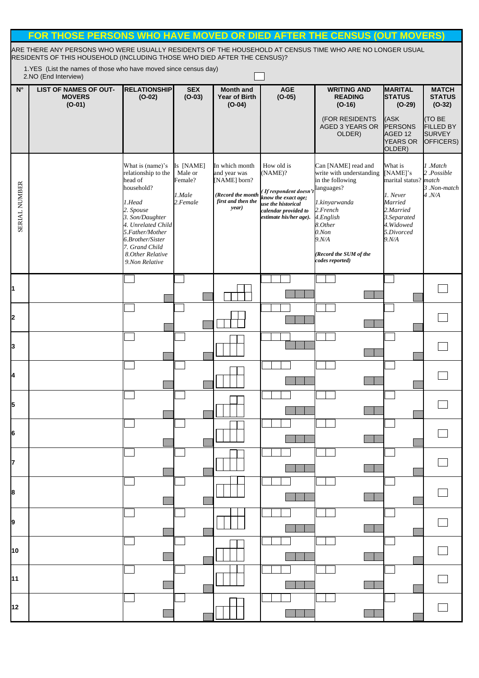|                    | FOR THOSE PERSONS WHO HAVE MOVED OR DIED AFTER THE CENSUS (OUT MOVERS)                                                                                                               |                                                                                                                                                                                                                                  |                                                       |                                                                                                    |                                                                                                                                               |                                                                                                                                                                                                        |                                                                                                                                       |                                                                 |  |  |  |  |
|--------------------|--------------------------------------------------------------------------------------------------------------------------------------------------------------------------------------|----------------------------------------------------------------------------------------------------------------------------------------------------------------------------------------------------------------------------------|-------------------------------------------------------|----------------------------------------------------------------------------------------------------|-----------------------------------------------------------------------------------------------------------------------------------------------|--------------------------------------------------------------------------------------------------------------------------------------------------------------------------------------------------------|---------------------------------------------------------------------------------------------------------------------------------------|-----------------------------------------------------------------|--|--|--|--|
|                    | ARE THERE ANY PERSONS WHO WERE USUALLY RESIDENTS OF THE HOUSEHOLD AT CENSUS TIME WHO ARE NO LONGER USUAL<br>RESIDENTS OF THIS HOUSEHOLD (INCLUDING THOSE WHO DIED AFTER THE CENSUS)? |                                                                                                                                                                                                                                  |                                                       |                                                                                                    |                                                                                                                                               |                                                                                                                                                                                                        |                                                                                                                                       |                                                                 |  |  |  |  |
|                    | 1.YES (List the names of those who have moved since census day)<br>2.NO (End Interview)                                                                                              |                                                                                                                                                                                                                                  |                                                       |                                                                                                    |                                                                                                                                               |                                                                                                                                                                                                        |                                                                                                                                       |                                                                 |  |  |  |  |
| $\mathsf{N}^\circ$ | <b>LIST OF NAMES OF OUT-</b><br><b>MOVERS</b><br>$(O-01)$                                                                                                                            | <b>RELATIONSHIP</b><br>$(O-02)$                                                                                                                                                                                                  | <b>SEX</b><br>$(O-03)$                                | <b>Month and</b><br><b>Year of Birth</b><br>$(O-04)$                                               | <b>AGE</b><br>$(O-05)$                                                                                                                        | <b>WRITING AND</b><br><b>READING</b><br>$(O-16)$                                                                                                                                                       | <b>MARITAL</b><br><b>STATUS</b><br>$(O-29)$                                                                                           | <b>MATCH</b><br><b>STATUS</b><br>$(O-32)$                       |  |  |  |  |
|                    |                                                                                                                                                                                      |                                                                                                                                                                                                                                  |                                                       |                                                                                                    |                                                                                                                                               | (FOR RESIDENTS<br>AGED 3 YEARS OR<br>OLDER)                                                                                                                                                            | (ASK<br>PERSONS<br>AGED 12<br><b>YEARS OR</b><br>OLDER)                                                                               | <b>(TO BE</b><br><b>FILLED BY</b><br><b>SURVEY</b><br>OFFICERS) |  |  |  |  |
| SERIAL NUMBER      |                                                                                                                                                                                      | What is (name)'s<br>relationship to the<br>head of<br>household?<br>1.Head<br>2. Spouse<br>3. Son/Daughter<br>4. Unrelated Child<br>5.Father/Mother<br>6.Brother/Sister<br>7. Grand Child<br>8. Other Relative<br>9.Non Relative | Is [NAME]<br>Male or<br>Female?<br>1.Male<br>2.Female | In which month<br>and year was<br>[NAME] born?<br>(Record the month<br>first and then the<br>year) | How old is<br>(NAME)?<br>If respondent doesn't<br>know the exact age;<br>use the historical<br>calendar provided to<br>estimate his/her age). | Can [NAME] read and<br>write with understanding<br>in the following<br>languages?<br>1.kinyarwanda<br>2.French<br>4.English<br>8.Other<br>0.Non<br>9. N/A<br>(Record the SUM of the<br>codes reported) | What is<br>[NAME]'s<br>marital status? match<br>1. Never<br>Married<br>2.Married<br>3.Separated<br>4. Widowed<br>5.Divorced<br>9. N/A | 1 .Match<br>2.Possible<br>3.Non-match<br>4. N/A                 |  |  |  |  |
| I1                 |                                                                                                                                                                                      |                                                                                                                                                                                                                                  |                                                       |                                                                                                    |                                                                                                                                               |                                                                                                                                                                                                        |                                                                                                                                       |                                                                 |  |  |  |  |
| <b>2</b>           |                                                                                                                                                                                      |                                                                                                                                                                                                                                  |                                                       |                                                                                                    |                                                                                                                                               |                                                                                                                                                                                                        |                                                                                                                                       |                                                                 |  |  |  |  |
| 3                  |                                                                                                                                                                                      |                                                                                                                                                                                                                                  |                                                       |                                                                                                    |                                                                                                                                               |                                                                                                                                                                                                        |                                                                                                                                       |                                                                 |  |  |  |  |
| I4                 |                                                                                                                                                                                      |                                                                                                                                                                                                                                  |                                                       |                                                                                                    |                                                                                                                                               |                                                                                                                                                                                                        |                                                                                                                                       |                                                                 |  |  |  |  |
| 5                  |                                                                                                                                                                                      |                                                                                                                                                                                                                                  |                                                       |                                                                                                    |                                                                                                                                               |                                                                                                                                                                                                        |                                                                                                                                       |                                                                 |  |  |  |  |
| 16                 |                                                                                                                                                                                      |                                                                                                                                                                                                                                  |                                                       |                                                                                                    |                                                                                                                                               |                                                                                                                                                                                                        |                                                                                                                                       |                                                                 |  |  |  |  |
|                    |                                                                                                                                                                                      |                                                                                                                                                                                                                                  |                                                       |                                                                                                    |                                                                                                                                               |                                                                                                                                                                                                        |                                                                                                                                       |                                                                 |  |  |  |  |
| 8                  |                                                                                                                                                                                      |                                                                                                                                                                                                                                  |                                                       |                                                                                                    |                                                                                                                                               |                                                                                                                                                                                                        |                                                                                                                                       |                                                                 |  |  |  |  |
| 19                 |                                                                                                                                                                                      |                                                                                                                                                                                                                                  |                                                       |                                                                                                    |                                                                                                                                               |                                                                                                                                                                                                        |                                                                                                                                       |                                                                 |  |  |  |  |
| 10                 |                                                                                                                                                                                      |                                                                                                                                                                                                                                  |                                                       |                                                                                                    |                                                                                                                                               |                                                                                                                                                                                                        |                                                                                                                                       |                                                                 |  |  |  |  |
| 11                 |                                                                                                                                                                                      |                                                                                                                                                                                                                                  |                                                       |                                                                                                    |                                                                                                                                               |                                                                                                                                                                                                        |                                                                                                                                       |                                                                 |  |  |  |  |
| 12                 |                                                                                                                                                                                      |                                                                                                                                                                                                                                  |                                                       |                                                                                                    |                                                                                                                                               |                                                                                                                                                                                                        |                                                                                                                                       |                                                                 |  |  |  |  |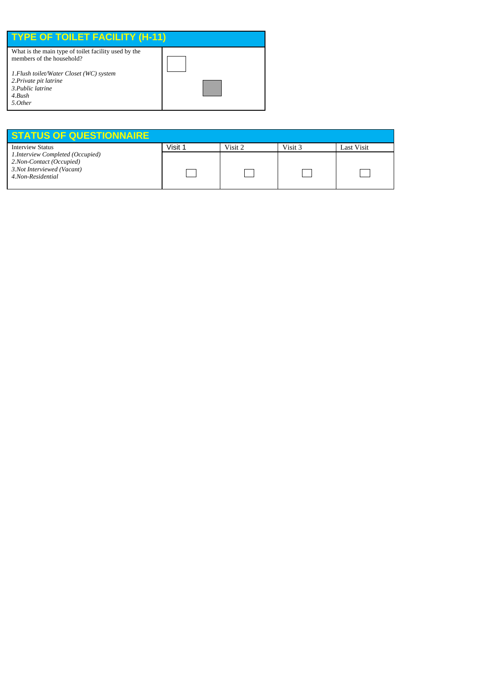| <b>TYPE OF TOILET FACILITY (H-11)</b>                |  |
|------------------------------------------------------|--|
| What is the main type of toilet facility used by the |  |
| members of the household?                            |  |
| 1. Flush toilet/Water Closet (WC) system             |  |
| 2. Private pit latrine                               |  |
| 3. Public latrine                                    |  |
| 4. Bush                                              |  |
| 5.0ther                                              |  |

| <b>STATUS OF QUESTIONNAIRE</b>    |         |         |         |            |
|-----------------------------------|---------|---------|---------|------------|
| <b>Interview Status</b>           | Visit 1 | Visit 2 | Visit 3 | Last Visit |
| 1. Interview Completed (Occupied) |         |         |         |            |
| 2.Non-Contact (Occupied)          |         |         |         |            |
| 3.Not Interviewed (Vacant)        |         |         |         |            |
| 4.Non-Residential                 |         |         |         |            |
|                                   |         |         |         |            |